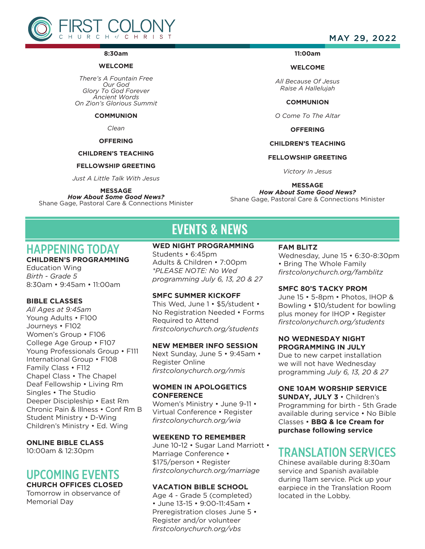

#### **8:30am**

#### **WELCOME**

*There's A Fountain Free Our God Glory To God Forever Ancient Words On Zion's Glorious Summit*

**COMMUNION**

#### *Clean*

#### **OFFERING**

#### **CHILDREN'S TEACHING**

#### **FELLOWSHIP GREETING**

*Just A Little Talk With Jesus*

#### **MESSAGE**

*How About Some Good News?* Shane Gage, Pastoral Care & Connections Minister

### MAY 29, 2022

#### **11:00am**

#### **WELCOME**

*All Because Of Jesus Raise A Hallelujah*

#### **COMMUNION**

*O Come To The Altar*

**OFFERING**

#### **CHILDREN'S TEACHING**

#### **FELLOWSHIP GREETING**

*Victory In Jesus*

#### **MESSAGE**

*How About Some Good News?* Shane Gage, Pastoral Care & Connections Minister

# EVENTS & NEWS

# HAPPENING TODAY

## **CHILDREN'S PROGRAMMING**

Education Wing *Birth - Grade 5* 8:30am • 9:45am • 11:00am

#### **BIBLE CLASSES**

*All Ages at 9:45am* Young Adults • F100 Journeys • F102 Women's Group • F106 College Age Group • F107 Young Professionals Group • F111 International Group • F108 Family Class • F112 Chapel Class • The Chapel Deaf Fellowship • Living Rm Singles • The Studio Deeper Discipleship • East Rm Chronic Pain & Illness • Conf Rm B Student Ministry • D-Wing Children's Ministry • Ed. Wing

#### **ONLINE BIBLE CLASS**

10:00am & 12:30pm

## UPCOMING EVENTS

#### **CHURCH OFFICES CLOSED**

Tomorrow in observance of Memorial Day

#### **WED NIGHT PROGRAMMING**

Students • 6:45pm Adults & Children • 7:00pm *\*PLEASE NOTE: No Wed programming July 6, 13, 20 & 27*

#### **SMFC SUMMER KICKOFF**

This Wed, June 1 • \$5/student • No Registration Needed • Forms Required to Attend *firstcolonychurch.org/students*

#### **NEW MEMBER INFO SESSION**

Next Sunday, June 5 • 9:45am • Register Online *firstcolonychurch.org/nmis*

#### **WOMEN IN APOLOGETICS CONFERENCE**

Women's Ministry • June 9-11 • Virtual Conference • Register *firstcolonychurch.org/wia* 

#### **WEEKEND TO REMEMBER**

June 10-12 • Sugar Land Marriott • Marriage Conference • \$175/person • Register *firstcolonychurch.org/marriage*

#### **VACATION BIBLE SCHOOL**

Age 4 - Grade 5 (completed) • June 13-15 • 9:00-11:45am • Preregistration closes June 5 • Register and/or volunteer *firstcolonychurch.org/vbs*

#### **FAM BLITZ**

Wednesday, June 15 • 6:30-8:30pm • Bring The Whole Family *firstcolonychurch.org/famblitz*

#### **SMFC 80'S TACKY PROM**

June 15 • 5-8pm • Photos, IHOP & Bowling • \$10/student for bowling plus money for IHOP • Register *firstcolonychurch.org/students* 

#### **NO WEDNESDAY NIGHT PROGRAMMING IN JULY**

Due to new carpet installation we will not have Wednesday programming *July 6, 13, 20 & 27*

#### **ONE 10AM WORSHIP SERVICE**

**SUNDAY, JULY 3** • Children's Programming for birth - 5th Grade available during service • No Bible Classes • **BBQ & Ice Cream for purchase following service** 

## TRANSLATION SERVICES

Chinese available during 8:30am service and Spanish available during 11am service. Pick up your earpiece in the Translation Room located in the Lobby.